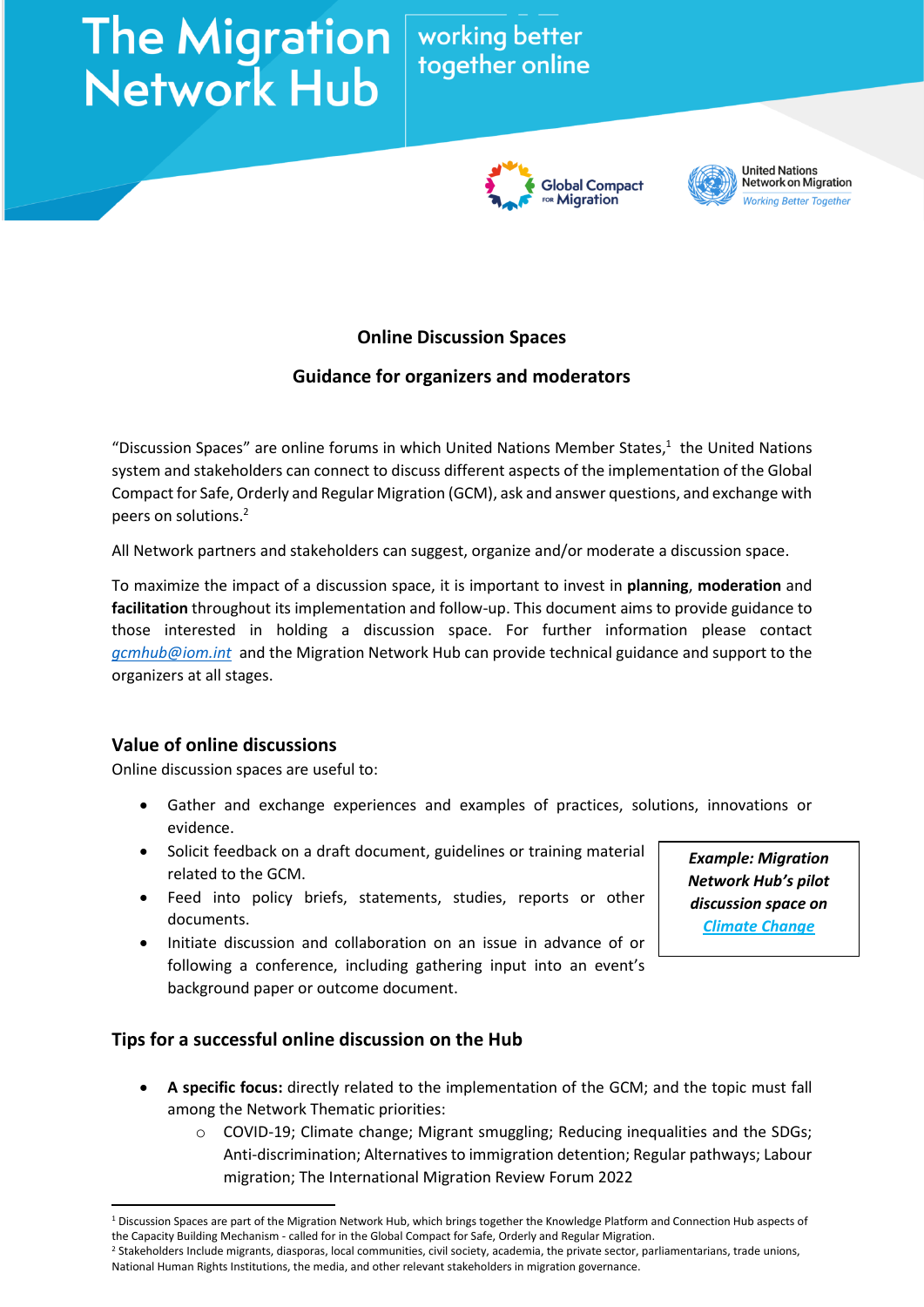# The Migration Working better<br>Network Hub

# together online





**United Nations Network on Migration Working Better Together** 

# **Online Discussion Spaces**

# **Guidance for organizers and moderators**

"Discussion Spaces" are online forums in which United Nations Member States,<sup>1</sup> the United Nations system and stakeholders can connect to discuss different aspects of the implementation of the Global Compact for Safe, Orderly and Regular Migration (GCM), ask and answer questions, and exchange with peers on solutions. 2

All Network partners and stakeholders can suggest, organize and/or moderate a discussion space.

To maximize the impact of a discussion space, it is important to invest in **planning**, **moderation** and **facilitation** throughout its implementation and follow-up. This document aims to provide guidance to those interested in holding a discussion space. For further information please contact *[gcmhub@iom.int](mailto:gcmhub@iom.int)* and the Migration Network Hub can provide technical guidance and support to the organizers at all stages.

### **Value of online discussions**

Online discussion spaces are useful to:

- Gather and exchange experiences and examples of practices, solutions, innovations or evidence.
- Solicit feedback on a draft document, guidelines or training material related to the GCM.
- Feed into policy briefs, statements, studies, reports or other documents.
- Initiate discussion and collaboration on an issue in advance of or following a conference, including gathering input into an event's background paper or outcome document.

### **Tips for a successful online discussion on the Hub**

- **A specific focus:** directly related to the implementation of the GCM; and the topic must fall among the Network Thematic priorities:
	- o COVID-19; Climate change; Migrant smuggling; Reducing inequalities and the SDGs; Anti-discrimination; Alternatives to immigration detention; Regular pathways; Labour migration; The International Migration Review Forum 2022

*Example: Migration Network Hub's pilot discussion space on [Climate](https://migrationnetwork.un.org/hub/discussion-space/3) Change*

<sup>1</sup> Discussion Spaces are part of the Migration Network Hub, which brings together the Knowledge Platform and Connection Hub aspects of the Capacity Building Mechanism - called for in the Global Compact for Safe, Orderly and Regular Migration.

<sup>&</sup>lt;sup>2</sup> Stakeholders Include migrants, diasporas, local communities, civil society, academia, the private sector, parliamentarians, trade unions, National Human Rights Institutions, the media, and other relevant stakeholders in migration governance.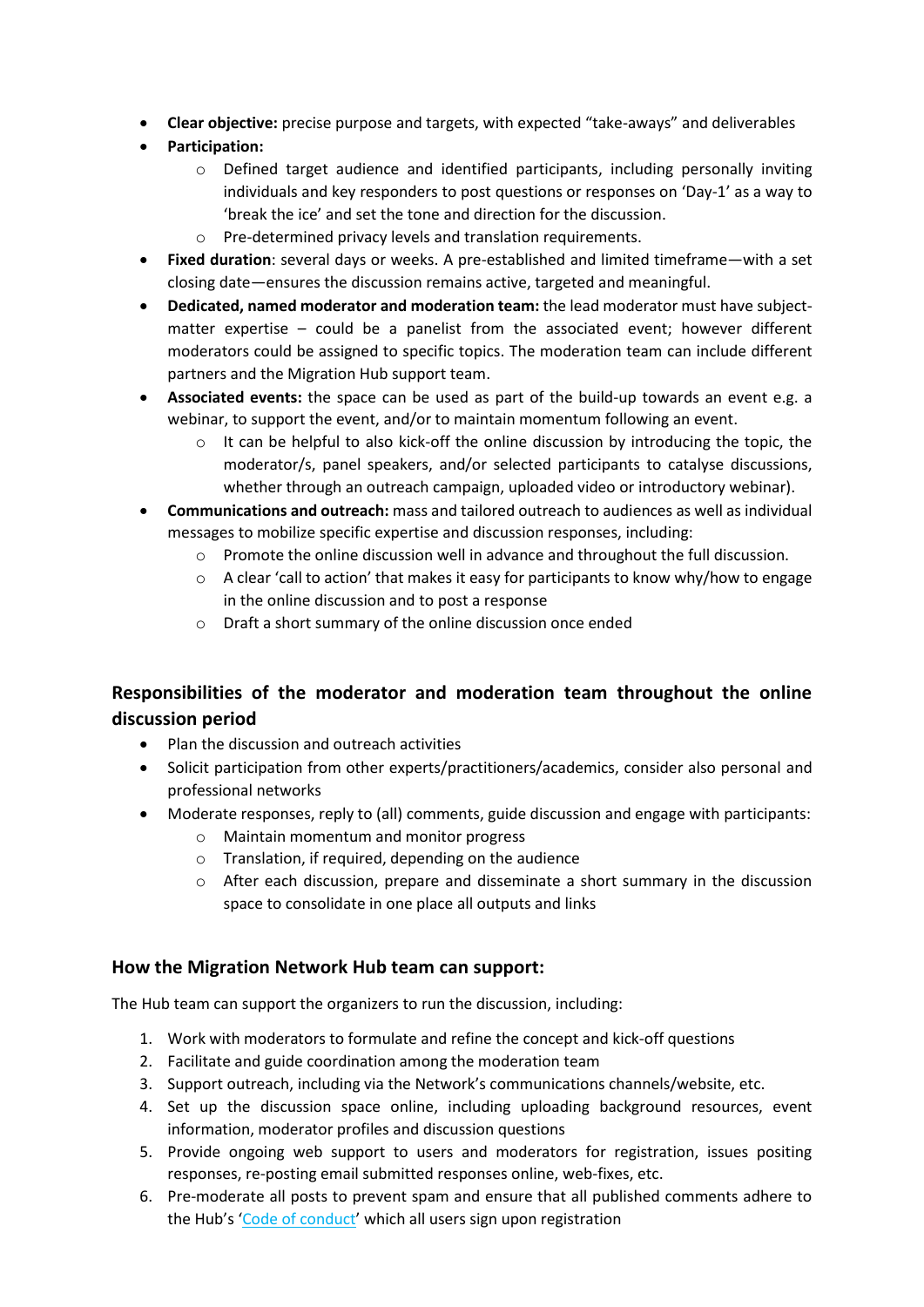- **Clear objective:** precise purpose and targets, with expected "take-aways" and deliverables
- **Participation:**
	- $\circ$  Defined target audience and identified participants, including personally inviting individuals and key responders to post questions or responses on 'Day-1' as a way to 'break the ice' and set the tone and direction for the discussion.
	- o Pre-determined privacy levels and translation requirements.
- **Fixed duration**: several days or weeks. A pre-established and limited timeframe—with a set closing date—ensures the discussion remains active, targeted and meaningful.
- **Dedicated, named moderator and moderation team:** the lead moderator must have subjectmatter expertise – could be a panelist from the associated event; however different moderators could be assigned to specific topics. The moderation team can include different partners and the Migration Hub support team.
- **Associated events:** the space can be used as part of the build-up towards an event e.g. a webinar, to support the event, and/or to maintain momentum following an event.
	- $\circ$  It can be helpful to also kick-off the online discussion by introducing the topic, the moderator/s, panel speakers, and/or selected participants to catalyse discussions, whether through an outreach campaign, uploaded video or introductory webinar).
- **Communications and outreach:** mass and tailored outreach to audiences as well as individual messages to mobilize specific expertise and discussion responses, including:
	- $\circ$  Promote the online discussion well in advance and throughout the full discussion.
	- $\circ$  A clear 'call to action' that makes it easy for participants to know why/how to engage in the online discussion and to post a response
	- o Draft a short summary of the online discussion once ended

## **Responsibilities of the moderator and moderation team throughout the online discussion period**

- Plan the discussion and outreach activities
- Solicit participation from other experts/practitioners/academics, consider also personal and professional networks
- Moderate responses, reply to (all) comments, guide discussion and engage with participants:
	- o Maintain momentum and monitor progress
	- o Translation, if required, depending on the audience
	- o After each discussion, prepare and disseminate a short summary in the discussion space to consolidate in one place all outputs and links

#### **How the Migration Network Hub team can support:**

The Hub team can support the organizers to run the discussion, including:

- 1. Work with moderators to formulate and refine the concept and kick-off questions
- 2. Facilitate and guide coordination among the moderation team
- 3. Support outreach, including via the Network's communications channels/website, etc.
- 4. Set up the discussion space online, including uploading background resources, event information, moderator profiles and discussion questions
- 5. Provide ongoing web support to users and moderators for registration, issues positing responses, re-posting email submitted responses online, web-fixes, etc.
- 6. Pre-moderate all posts to prevent spam and ensure that all published comments adhere to the Hub's '[Code of conduct](https://migrationnetwork.un.org/code-conduct)' which all users sign upon registration